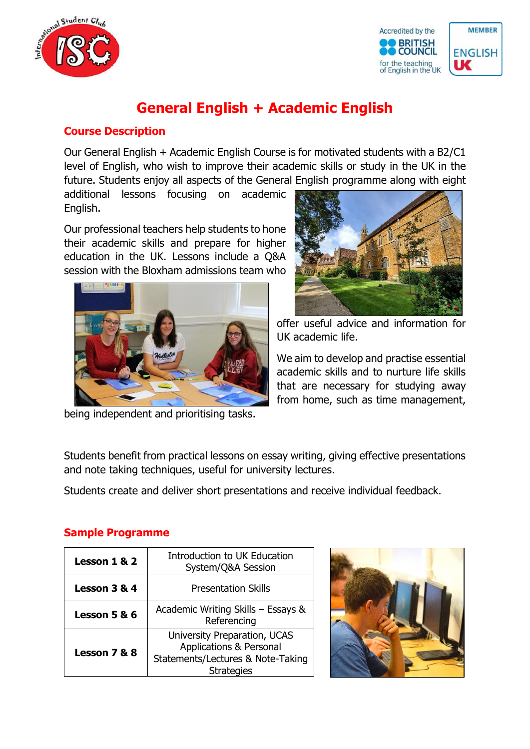



## **General English + Academic English**

#### **Course Description**

Our General English + Academic English Course is for motivated students with a B2/C1 level of English, who wish to improve their academic skills or study in the UK in the future. Students enjoy all aspects of the General English programme along with eight

additional lessons focusing on academic English.

Our professional teachers help students to hone their academic skills and prepare for higher education in the UK. Lessons include a Q&A session with the Bloxham admissions team who



being independent and prioritising tasks.



offer useful advice and information for UK academic life.

We aim to develop and practise essential academic skills and to nurture life skills that are necessary for studying away from home, such as time management,

Students benefit from practical lessons on essay writing, giving effective presentations and note taking techniques, useful for university lectures.

Students create and deliver short presentations and receive individual feedback.

### **Sample Programme**

| Lesson 1 & 2 | <b>Introduction to UK Education</b><br>System/Q&A Session                                                                    |
|--------------|------------------------------------------------------------------------------------------------------------------------------|
| Lesson 3 & 4 | <b>Presentation Skills</b>                                                                                                   |
| Lesson 5 & 6 | Academic Writing Skills - Essays &<br>Referencing                                                                            |
| Lesson 7 & 8 | University Preparation, UCAS<br><b>Applications &amp; Personal</b><br>Statements/Lectures & Note-Taking<br><b>Strategies</b> |